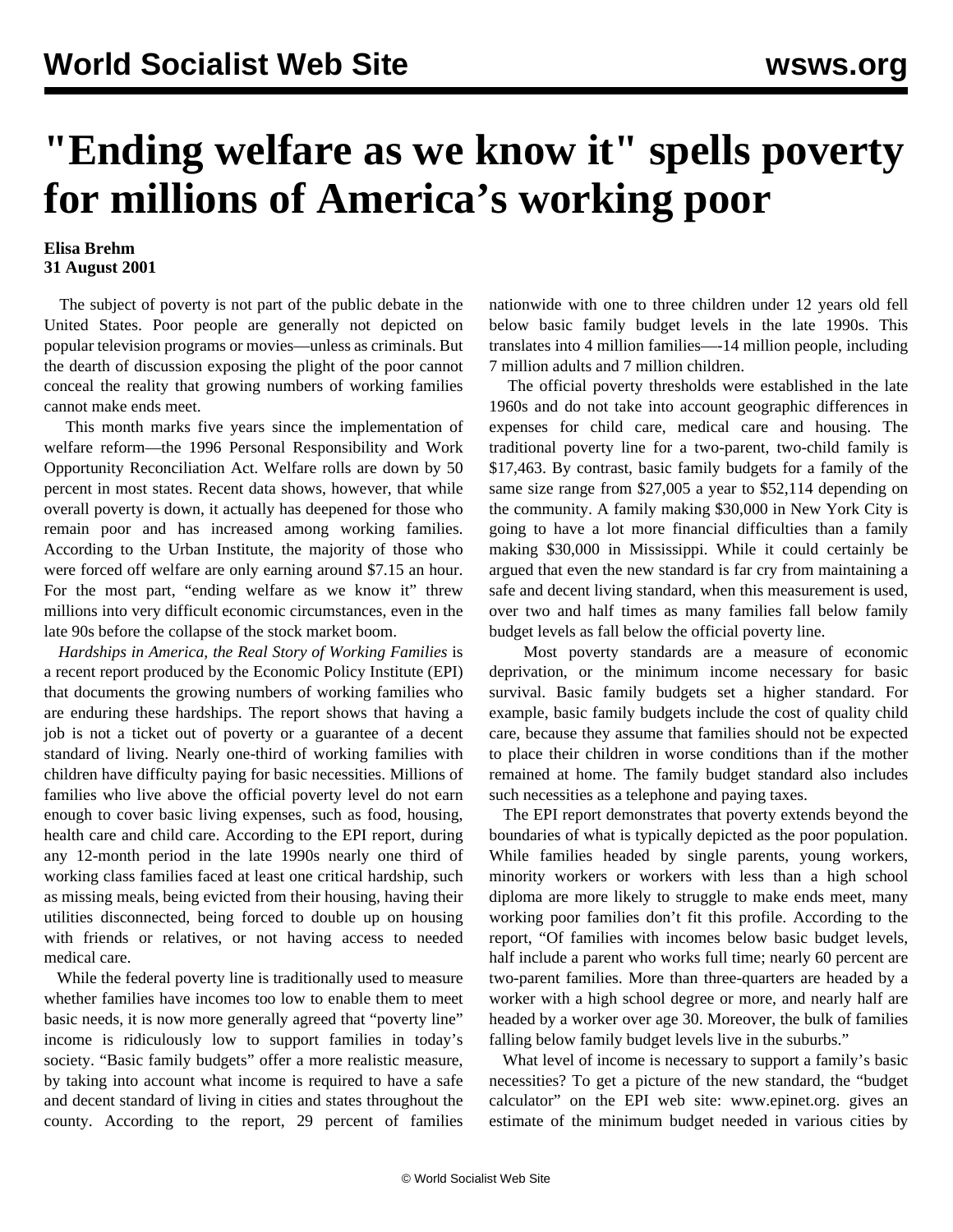## **"Ending welfare as we know it" spells poverty for millions of America's working poor**

## **Elisa Brehm 31 August 2001**

 The subject of poverty is not part of the public debate in the United States. Poor people are generally not depicted on popular television programs or movies—unless as criminals. But the dearth of discussion exposing the plight of the poor cannot conceal the reality that growing numbers of working families cannot make ends meet.

 This month marks five years since the implementation of welfare reform—the 1996 Personal Responsibility and Work Opportunity Reconciliation Act. Welfare rolls are down by 50 percent in most states. Recent data shows, however, that while overall poverty is down, it actually has deepened for those who remain poor and has increased among working families. According to the Urban Institute, the majority of those who were forced off welfare are only earning around \$7.15 an hour. For the most part, "ending welfare as we know it" threw millions into very difficult economic circumstances, even in the late 90s before the collapse of the stock market boom.

 *Hardships in America, the Real Story of Working Families* is a recent report produced by the Economic Policy Institute (EPI) that documents the growing numbers of working families who are enduring these hardships. The report shows that having a job is not a ticket out of poverty or a guarantee of a decent standard of living. Nearly one-third of working families with children have difficulty paying for basic necessities. Millions of families who live above the official poverty level do not earn enough to cover basic living expenses, such as food, housing, health care and child care. According to the EPI report, during any 12-month period in the late 1990s nearly one third of working class families faced at least one critical hardship, such as missing meals, being evicted from their housing, having their utilities disconnected, being forced to double up on housing with friends or relatives, or not having access to needed medical care.

 While the federal poverty line is traditionally used to measure whether families have incomes too low to enable them to meet basic needs, it is now more generally agreed that "poverty line" income is ridiculously low to support families in today's society. "Basic family budgets" offer a more realistic measure, by taking into account what income is required to have a safe and decent standard of living in cities and states throughout the county. According to the report, 29 percent of families nationwide with one to three children under 12 years old fell below basic family budget levels in the late 1990s. This translates into 4 million families—-14 million people, including 7 million adults and 7 million children.

 The official poverty thresholds were established in the late 1960s and do not take into account geographic differences in expenses for child care, medical care and housing. The traditional poverty line for a two-parent, two-child family is \$17,463. By contrast, basic family budgets for a family of the same size range from \$27,005 a year to \$52,114 depending on the community. A family making \$30,000 in New York City is going to have a lot more financial difficulties than a family making \$30,000 in Mississippi. While it could certainly be argued that even the new standard is far cry from maintaining a safe and decent living standard, when this measurement is used, over two and half times as many families fall below family budget levels as fall below the official poverty line.

 Most poverty standards are a measure of economic deprivation, or the minimum income necessary for basic survival. Basic family budgets set a higher standard. For example, basic family budgets include the cost of quality child care, because they assume that families should not be expected to place their children in worse conditions than if the mother remained at home. The family budget standard also includes such necessities as a telephone and paying taxes.

 The EPI report demonstrates that poverty extends beyond the boundaries of what is typically depicted as the poor population. While families headed by single parents, young workers, minority workers or workers with less than a high school diploma are more likely to struggle to make ends meet, many working poor families don't fit this profile. According to the report, "Of families with incomes below basic budget levels, half include a parent who works full time; nearly 60 percent are two-parent families. More than three-quarters are headed by a worker with a high school degree or more, and nearly half are headed by a worker over age 30. Moreover, the bulk of families falling below family budget levels live in the suburbs."

 What level of income is necessary to support a family's basic necessities? To get a picture of the new standard, the "budget calculator" on the EPI web site: www.epinet.org. gives an estimate of the minimum budget needed in various cities by